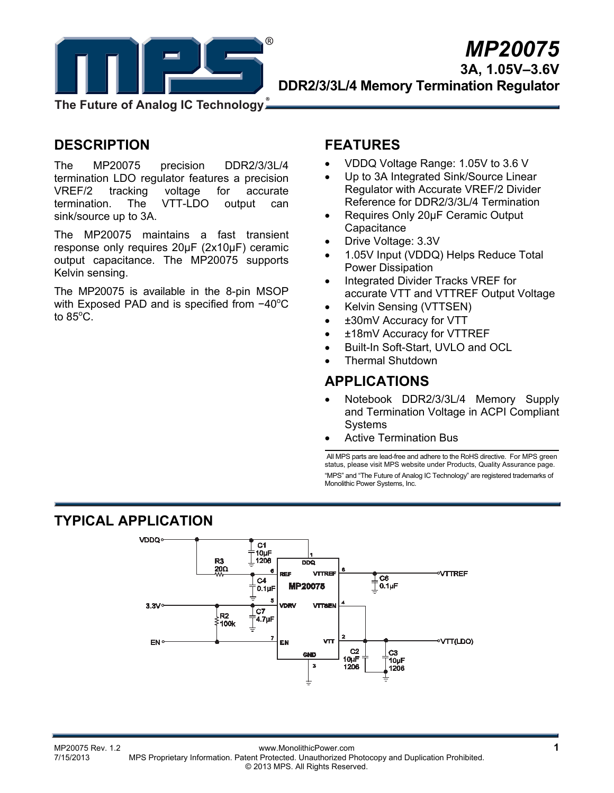

# *MP20075*  **3A, 1.05V–3.6V DDR2/3/3L/4 Memory Termination Regulator**

**The Future of Analog IC Technology**

## **DESCRIPTION**

The MP20075 precision DDR2/3/3L/4 termination LDO regulator features a precision VREF/2 tracking voltage for accurate termination. The VTT-LDO output can sink/source up to 3A.

The MP20075 maintains a fast transient response only requires 20μF (2x10μF) ceramic output capacitance. The MP20075 supports Kelvin sensing.

The MP20075 is available in the 8-pin MSOP with Exposed PAD and is specified from -40°C to 85 $^{\circ}$ C.

# **FEATURES**

- VDDQ Voltage Range: 1.05V to 3.6 V
- Up to 3A Integrated Sink/Source Linear Regulator with Accurate VREF/2 Divider Reference for DDR2/3/3L/4 Termination
- Requires Only 20µF Ceramic Output **Capacitance**
- Drive Voltage: 3.3V
- 1.05V Input (VDDQ) Helps Reduce Total Power Dissipation
- Integrated Divider Tracks VREF for accurate VTT and VTTREF Output Voltage
- Kelvin Sensing (VTTSEN)
- ±30mV Accuracy for VTT
- ±18mV Accuracy for VTTREF
- Built-In Soft-Start, UVLO and OCL
- Thermal Shutdown

### **APPLICATIONS**

- Notebook DDR2/3/3L/4 Memory Supply and Termination Voltage in ACPI Compliant Systems
- Active Termination Bus

 All MPS parts are lead-free and adhere to the RoHS directive. For MPS green status, please visit MPS website under Products, Quality Assurance page. "MPS" and "The Future of Analog IC Technology" are registered trademarks of Monolithic Power Systems, Inc.

### **TYPICAL APPLICATION**

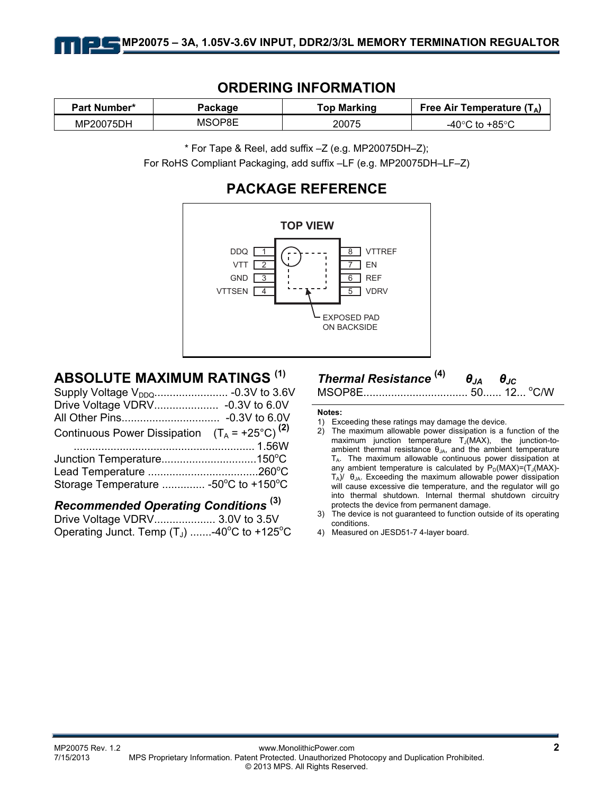

### **ORDERING INFORMATION**

| <b>Part Number*</b> | Package | <b>Top Marking</b> | Free Air Temperature $(T_A)$                       |  |
|---------------------|---------|--------------------|----------------------------------------------------|--|
| MP20075DH           | MSOP8E  | 20075              | ം +85°<br>$\Lambda$ $\Omega$ $\Omega$ to $\Lambda$ |  |

\* For Tape & Reel, add suffix –Z (e.g. MP20075DH–Z);

For RoHS Compliant Packaging, add suffix –LF (e.g. MP20075DH–LF–Z)

## **PACKAGE REFERENCE**



## **ABSOLUTE MAXIMUM RATINGS (1)**

| Continuous Power Dissipation $(T_A = +25^{\circ}C)^{(2)}$ |  |
|-----------------------------------------------------------|--|
|                                                           |  |
| Junction Temperature150°C                                 |  |
|                                                           |  |
| Storage Temperature  -50°C to +150°C                      |  |
|                                                           |  |

## *Recommended Operating Conditions* **(3)**

Drive Voltage VDRV.................... 3.0V to 3.5V Operating Junct. Temp  $(T_J)$  .......-40°C to +125°C

# *Thermal Resistance* **(4)** *θJA θJC*

MSOP8E.................................. 50...... 12... o C/W

#### **Notes:**

- 2) The maximum allowable power dissipation is a function of the maximum junction temperature  $T_J(MAX)$ , the junction-toambient thermal resistance  $\theta_{JA}$ , and the ambient temperature  $T_A$ . The maximum allowable continuous power dissipation at any ambient temperature is calculated by  $P_D(MAX)=(T_J(MAX)-T_J(MAX))$  $T_A$ )/  $\theta_{JA}$ . Exceeding the maximum allowable power dissipation will cause excessive die temperature, and the regulator will go into thermal shutdown. Internal thermal shutdown circuitry protects the device from permanent damage.
- 3) The device is not guaranteed to function outside of its operating conditions.
- 4) Measured on JESD51-7 4-layer board.

<sup>1)</sup> Exceeding these ratings may damage the device.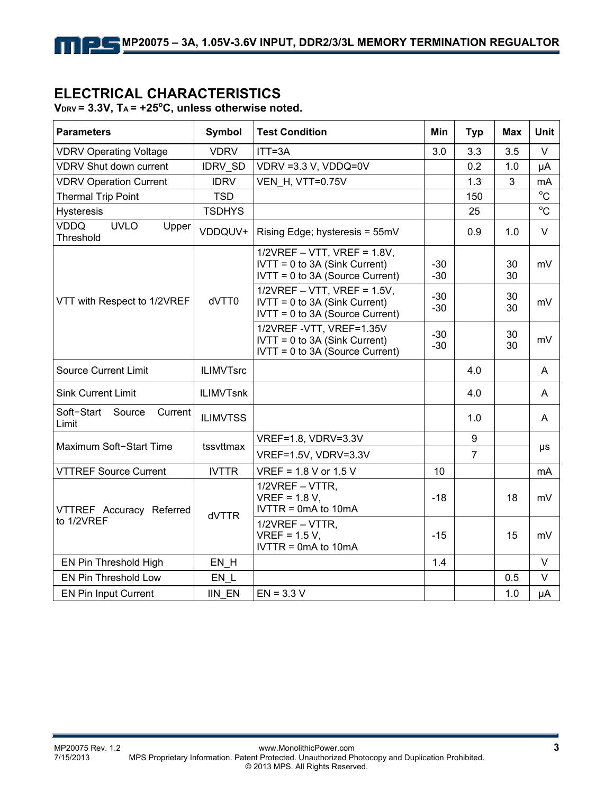### **ELECTRICAL CHARACTERISTICS**

**VDRV = 3.3V, TA = +25<sup>o</sup> C, unless otherwise noted.** 

| <b>Parameters</b>                                | Symbol           | <b>Test Condition</b>                                                                                  | <b>Min</b>     | <b>Typ</b>     | Max      | <b>Unit</b>    |  |
|--------------------------------------------------|------------------|--------------------------------------------------------------------------------------------------------|----------------|----------------|----------|----------------|--|
| <b>VDRV Operating Voltage</b>                    | <b>VDRV</b>      | ITT=3A                                                                                                 | 3.0            | 3.3            | 3.5      | $\vee$         |  |
| <b>VDRV Shut down current</b>                    | <b>IDRV SD</b>   | VDRV = 3.3 V, VDDQ=0V                                                                                  |                | 0.2            | 1.0      | μA             |  |
| <b>VDRV Operation Current</b>                    | <b>IDRV</b>      | <b>VEN H, VTT=0.75V</b>                                                                                |                | 1.3            | 3        | mA             |  |
| <b>Thermal Trip Point</b>                        | <b>TSD</b>       |                                                                                                        |                | 150            |          | $^{\circ}C$    |  |
| Hysteresis                                       | <b>TSDHYS</b>    |                                                                                                        |                | 25             |          | $\overline{c}$ |  |
| <b>VDDQ</b><br><b>UVLO</b><br>Upper<br>Threshold | VDDQUV+          | Rising Edge; hysteresis = 55mV                                                                         |                | 0.9            | 1.0      | V              |  |
|                                                  | dVTT0            | $1/2VREF - VTT$ , VREF = 1.8V,<br>$IVTT = 0$ to 3A (Sink Current)<br>$IVTT = 0$ to 3A (Source Current) | $-30$<br>$-30$ |                | 30<br>30 | mV             |  |
| VTT with Respect to 1/2VREF                      |                  | $1/2VREF - VTT$ , VREF = 1.5V,<br>$IVTT = 0$ to 3A (Sink Current)<br>$IVTT = 0$ to 3A (Source Current) | $-30$<br>$-30$ |                | 30<br>30 | mV             |  |
|                                                  |                  | 1/2VREF-VTT, VREF=1.35V<br>IVTT = 0 to 3A (Sink Current)<br>IVTT = 0 to 3A (Source Current)            | $-30$<br>$-30$ |                | 30<br>30 | mV             |  |
| <b>Source Current Limit</b>                      | <b>ILIMVTsrc</b> |                                                                                                        |                | 4.0            |          | A              |  |
| <b>Sink Current Limit</b>                        | <b>ILIMVTsnk</b> |                                                                                                        |                | 4.0            |          | A              |  |
| Soft-Start<br>Source<br>Current<br>Limit         | <b>ILIMVTSS</b>  |                                                                                                        |                | 1.0            |          | A              |  |
| Maximum Soft-Start Time                          | tssyttmax        | VREF=1.8, VDRV=3.3V                                                                                    |                | 9              |          |                |  |
|                                                  |                  | VREF=1.5V, VDRV=3.3V                                                                                   |                | $\overline{7}$ |          | μs             |  |
| <b>VTTREF Source Current</b>                     | <b>IVTTR</b>     | $VREF = 1.8 V or 1.5 V$                                                                                | 10             |                |          | mA             |  |
| VTTREF Accuracy Referred                         | dVTTR            | 1/2VREF - VTTR,<br>$VREF = 1.8 V$ .<br>IVTTR = $0mA$ to $10mA$                                         | -18            |                | 18       | mV             |  |
| to 1/2VREF                                       |                  | 1/2VREF - VTTR,<br>$VREF = 1.5 V$ .<br>$IVTTR = 0mA$ to 10mA                                           | $-15$          |                | 15       | mV             |  |
| EN Pin Threshold High                            | EN H             |                                                                                                        | 1.4            |                |          | $\vee$         |  |
| EN Pin Threshold Low                             | EN L             |                                                                                                        |                |                | 0.5      | $\vee$         |  |
| <b>EN Pin Input Current</b>                      | <b>IIN EN</b>    | $EN = 3.3 V$                                                                                           |                |                | 1.0      | μA             |  |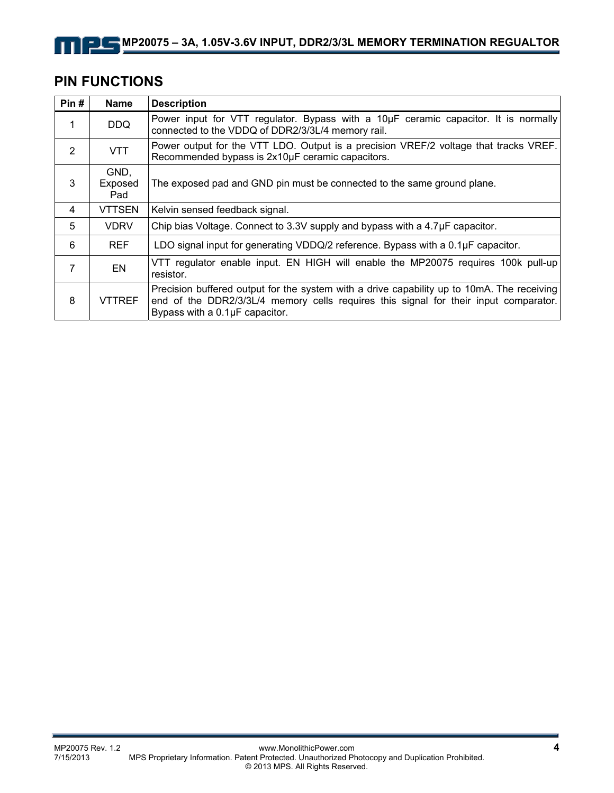# **PIN FUNCTIONS**

| Pin#           | <b>Name</b>            | <b>Description</b>                                                                                                                                                                                                   |  |  |  |
|----------------|------------------------|----------------------------------------------------------------------------------------------------------------------------------------------------------------------------------------------------------------------|--|--|--|
| 1              | <b>DDQ</b>             | Power input for VTT regulator. Bypass with a 10µF ceramic capacitor. It is normally<br>connected to the VDDQ of DDR2/3/3L/4 memory rail.                                                                             |  |  |  |
| $\overline{2}$ | VTT                    | Power output for the VTT LDO. Output is a precision VREF/2 voltage that tracks VREF.<br>Recommended bypass is 2x10µF ceramic capacitors.                                                                             |  |  |  |
| 3              | GND,<br>Exposed<br>Pad | The exposed pad and GND pin must be connected to the same ground plane.                                                                                                                                              |  |  |  |
| 4              | <b>VTTSEN</b>          | Kelvin sensed feedback signal.                                                                                                                                                                                       |  |  |  |
| 5              | <b>VDRV</b>            | Chip bias Voltage. Connect to 3.3V supply and bypass with a 4.7µF capacitor.                                                                                                                                         |  |  |  |
| 6              | <b>REF</b>             | LDO signal input for generating VDDQ/2 reference. Bypass with a 0.1µF capacitor.                                                                                                                                     |  |  |  |
| 7              | EN                     | VTT regulator enable input. EN HIGH will enable the MP20075 requires 100k pull-up<br>resistor.                                                                                                                       |  |  |  |
| 8              | <b>VTTREF</b>          | Precision buffered output for the system with a drive capability up to 10mA. The receiving<br>end of the DDR2/3/3L/4 memory cells requires this signal for their input comparator.<br>Bypass with a 0.1µF capacitor. |  |  |  |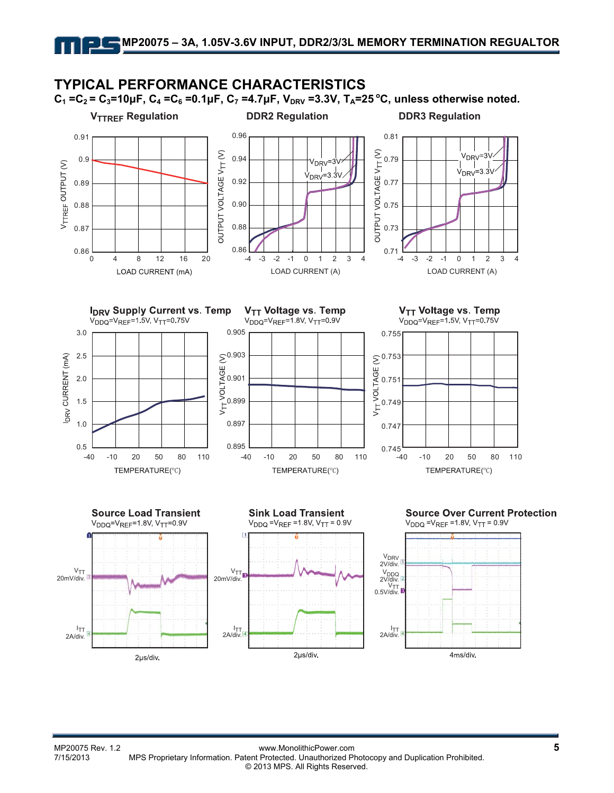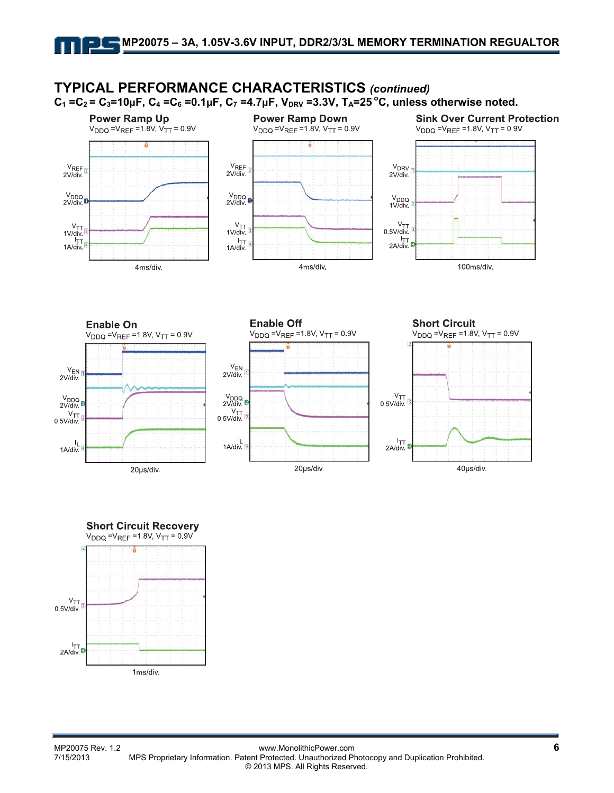







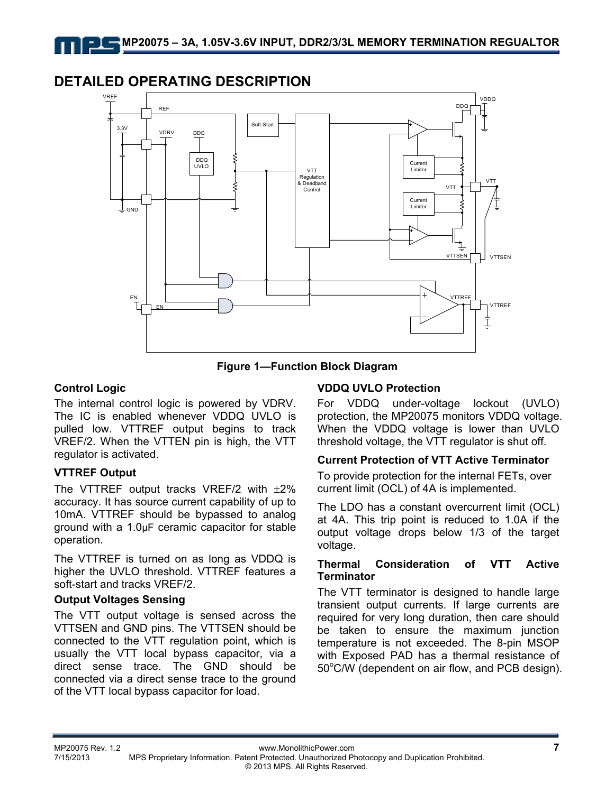### **DETAILED OPERATING DESCRIPTION**



**Figure 1—Function Block Diagram** 

### **Control Logic**

The internal control logic is powered by VDRV. The IC is enabled whenever VDDQ UVLO is pulled low. VTTREF output begins to track VREF/2. When the VTTEN pin is high, the VTT regulator is activated.

### **VTTREF Output**

The VTTREF output tracks VREF/2 with  $\pm 2\%$ accuracy. It has source current capability of up to 10mA. VTTREF should be bypassed to analog ground with a 1.0μF ceramic capacitor for stable operation.

The VTTREF is turned on as long as VDDQ is higher the UVLO threshold. VTTREF features a soft-start and tracks VREF/2.

### **Output Voltages Sensing**

The VTT output voltage is sensed across the VTTSEN and GND pins. The VTTSEN should be connected to the VTT regulation point, which is usually the VTT local bypass capacitor, via a direct sense trace. The GND should be connected via a direct sense trace to the ground of the VTT local bypass capacitor for load.

### **VDDQ UVLO Protection**

For VDDQ under-voltage lockout (UVLO) protection, the MP20075 monitors VDDQ voltage. When the VDDQ voltage is lower than UVLO threshold voltage, the VTT regulator is shut off.

#### **Current Protection of VTT Active Terminator**

To provide protection for the internal FETs, over current limit (OCL) of 4A is implemented.

The LDO has a constant overcurrent limit (OCL) at 4A. This trip point is reduced to 1.0A if the output voltage drops below 1/3 of the target voltage.

#### **Thermal Consideration of VTT Active Terminator**

The VTT terminator is designed to handle large transient output currents. If large currents are required for very long duration, then care should be taken to ensure the maximum junction temperature is not exceeded. The 8-pin MSOP with Exposed PAD has a thermal resistance of 50°C/W (dependent on air flow, and PCB design).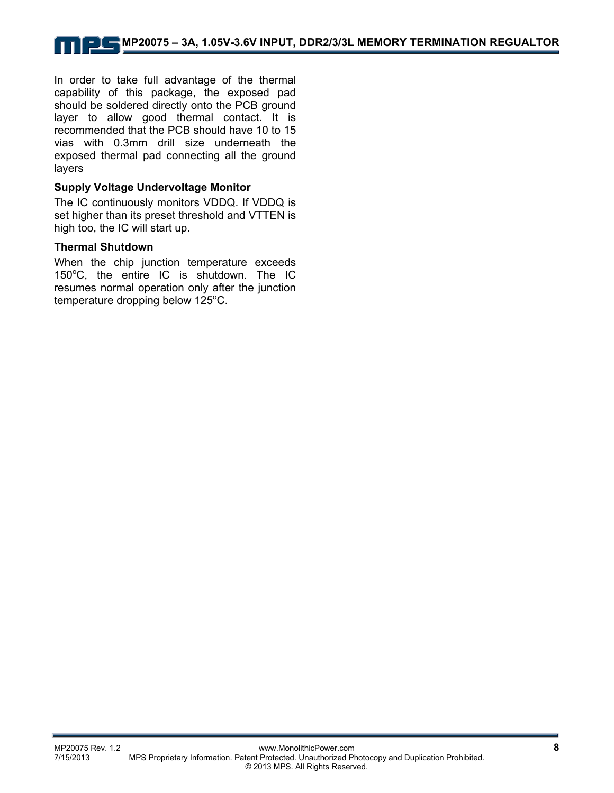In order to take full advantage of the thermal capability of this package, the exposed pad should be soldered directly onto the PCB ground layer to allow good thermal contact. It is recommended that the PCB should have 10 to 15 vias with 0.3mm drill size underneath the exposed thermal pad connecting all the ground layers

### **Supply Voltage Undervoltage Monitor**

The IC continuously monitors VDDQ. If VDDQ is set higher than its preset threshold and VTTEN is high too, the IC will start up.

#### **Thermal Shutdown**

When the chip junction temperature exceeds 150°C, the entire IC is shutdown. The IC resumes normal operation only after the junction temperature dropping below  $125^{\circ}$ C.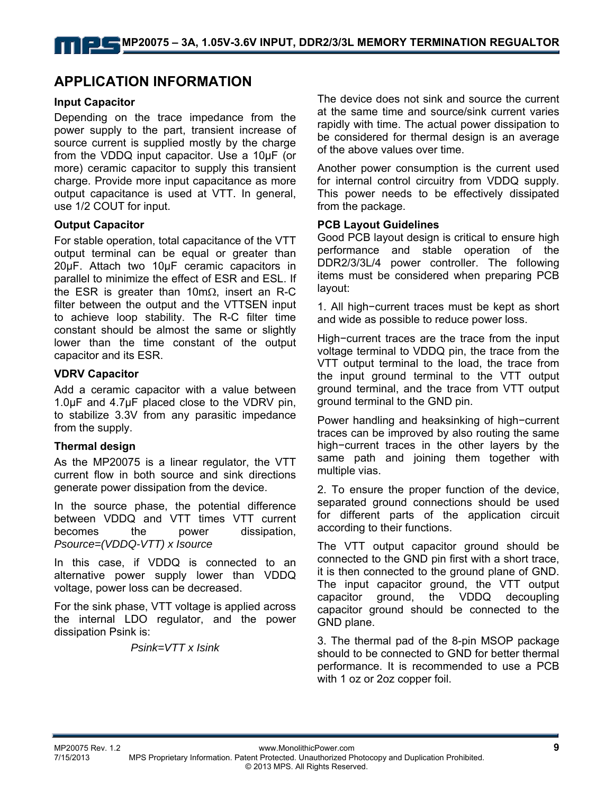## **APPLICATION INFORMATION**

#### **Input Capacitor**

Depending on the trace impedance from the power supply to the part, transient increase of source current is supplied mostly by the charge from the VDDQ input capacitor. Use a 10μF (or more) ceramic capacitor to supply this transient charge. Provide more input capacitance as more output capacitance is used at VTT. In general, use 1/2 COUT for input.

#### **Output Capacitor**

For stable operation, total capacitance of the VTT output terminal can be equal or greater than 20μF. Attach two 10μF ceramic capacitors in parallel to minimize the effect of ESR and ESL. If the ESR is greater than 10mΩ, insert an R-C filter between the output and the VTTSEN input to achieve loop stability. The R-C filter time constant should be almost the same or slightly lower than the time constant of the output capacitor and its ESR.

#### **VDRV Capacitor**

Add a ceramic capacitor with a value between 1.0μF and 4.7μF placed close to the VDRV pin, to stabilize 3.3V from any parasitic impedance from the supply.

#### **Thermal design**

As the MP20075 is a linear regulator, the VTT current flow in both source and sink directions generate power dissipation from the device.

In the source phase, the potential difference between VDDQ and VTT times VTT current becomes the power dissipation, *Psource=(VDDQ-VTT) x Isource* 

In this case, if VDDQ is connected to an alternative power supply lower than VDDQ voltage, power loss can be decreased.

For the sink phase, VTT voltage is applied across the internal LDO regulator, and the power dissipation Psink is:

*Psink=VTT x Isink* 

The device does not sink and source the current at the same time and source/sink current varies rapidly with time. The actual power dissipation to be considered for thermal design is an average of the above values over time.

Another power consumption is the current used for internal control circuitry from VDDQ supply. This power needs to be effectively dissipated from the package.

#### **PCB Layout Guidelines**

Good PCB layout design is critical to ensure high performance and stable operation of the DDR2/3/3L/4 power controller. The following items must be considered when preparing PCB layout:

1. All high−current traces must be kept as short and wide as possible to reduce power loss.

High−current traces are the trace from the input voltage terminal to VDDQ pin, the trace from the VTT output terminal to the load, the trace from the input ground terminal to the VTT output ground terminal, and the trace from VTT output ground terminal to the GND pin.

Power handling and heaksinking of high−current traces can be improved by also routing the same high−current traces in the other layers by the same path and joining them together with multiple vias.

2. To ensure the proper function of the device, separated ground connections should be used for different parts of the application circuit according to their functions.

The VTT output capacitor ground should be connected to the GND pin first with a short trace, it is then connected to the ground plane of GND. The input capacitor ground, the VTT output capacitor ground, the VDDQ decoupling capacitor ground should be connected to the GND plane.

3. The thermal pad of the 8-pin MSOP package should to be connected to GND for better thermal performance. It is recommended to use a PCB with 1 oz or 2oz copper foil.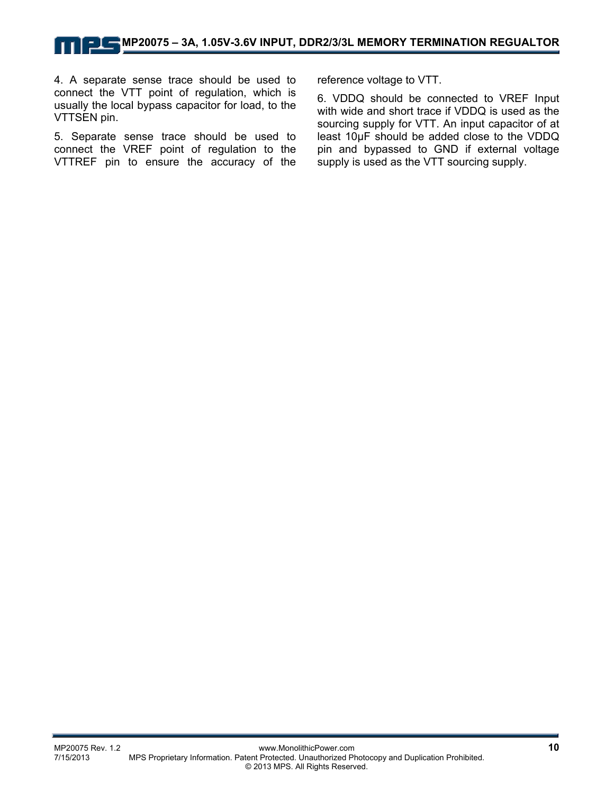4. A separate sense trace should be used to connect the VTT point of regulation, which is usually the local bypass capacitor for load, to the VTTSEN pin.

5. Separate sense trace should be used to connect the VREF point of regulation to the VTTREF pin to ensure the accuracy of the reference voltage to VTT.

6. VDDQ should be connected to VREF Input with wide and short trace if VDDQ is used as the sourcing supply for VTT. An input capacitor of at least 10μF should be added close to the VDDQ pin and bypassed to GND if external voltage supply is used as the VTT sourcing supply.